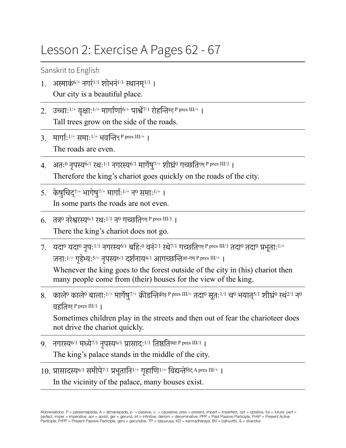## Lesson 2: Exercise A Pages 62 - 67

Sanskrit to English

- 1. अस्माकं<sup>6/+</sup> नगरं<sup>1/1</sup> शोभनं<sup>1/1</sup> स्थानम<sup>1/1</sup> । Our city is a beautiful place.
- 2. उच्चाः $^{1/+}$  वृक्षाः $^{1/+}$  मार्गाणां $^{6/+}$  पार्श्वे $^{7/1}$  रोहन्तिरुह् P pres III/+ । Tall trees grow on the side of the roads.
- $3.$  मार्गा:  $1/+$  समा:  $1/+$  भवन्तिभ् P pres III/+ ।
	- The roads are even.
- 4. अतः<sup>0</sup> नपस्य<sup>6/1</sup> रथः<sup>1/1</sup> नगरस्य<sup>6/1</sup> मार्गेष<sup>7/+</sup> शीघ्रं<sup>0</sup> गच्छतिगम् P pres III/1 । Therefore the king's chariot goes quickly on the roads of the city.
- 5. केषुिचद् 7/+ भागेषु7/+ मागा5ः1/+ न<sup>0</sup> समाः1/+ । In some parts the roads are not even.
- 6. तत्र नरेश्वरस्य 6/1 रथः 1/1 न0 गच्छतिगम् P pres III/1 । There the king's chariot does not go.
- $7.$  यदा<sup>0</sup> यदा<sup>0</sup> नपः<sup>1/1</sup> नगरस्य<sup>6/1</sup> बहिः<sup>0</sup> वनं<sup>2/1</sup> रथे<sup>7/1</sup> गच्छतिगम् P pres III/1 तदा<sup>0</sup> तदा<sup>0</sup> प्रभताः<sup>1/+</sup> जनाः<sup>1/+</sup> गहेभ्यः<sup>5/+</sup> नपस्य<sup>6/1</sup> दर्शनाय<sup>4/1</sup> आगच्छन्तिआ-गम् P pres III/+ ।

Whenever the king goes to the forest outside of the city in (his) chariot then many people come from (their) houses for the view of the king.

8. काले<sup>0</sup> काले<sup>0</sup> बालाः<sup>1/+</sup> मार्गेषु<sup>7/+</sup> क्रीडन्तिक्रीड् P pres III/+ तदा<sup>0</sup> सूतः<sup>1/1</sup> च<sup>0</sup> भयात्<sup>5/1</sup> शीघ्रं0 रथं<sup>2/1</sup> न<sup>0</sup> वहितवह् P pres III/1 ।

Sometimes children play in the streets and then out of fear the charioteer does not drive the chariot quickly.

- $9.$  नगरस्य<sup>6/1</sup> मध्ये<sup>7/1</sup> नृपस्य<sup>6/1</sup> प्रासादः<sup>1/1</sup> तिष्ठतिस्था P pres III/1 | The king's palace stands in the middle of the city.
- 10. प्रासादस्य<sup>6/1</sup> समीपे<sup>7/1</sup> प्रभूतानि<sup>1/+</sup> गृहाणि<sup>1/+</sup> विद्यन्ते<sup>विद् A pres III/+ ।</sup>

In the vicinity of the palace, many houses exist.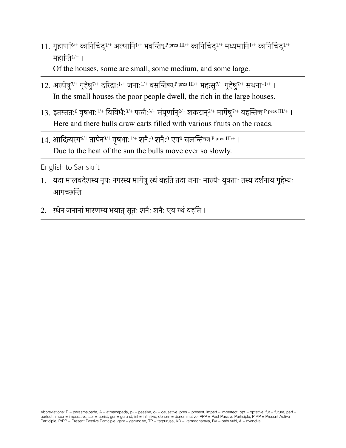- 11. गृहाणां<sup>6/+</sup> कानिचिद्<sup>1/+</sup> अल्पानि<sup>1/+</sup> भवन्तिभू <sup>p</sup> pres III/+ कानिचिद्<sup>1/+</sup> मध्यमानि<sup>1/+</sup> कानिचिद्<sup>1/+</sup> महानि $1/+$  । Of the houses, some are small, some medium, and some large.
- $12.$  अल्पेषु<sup>7/+</sup> गृहेषु<sup>7/+</sup> दरिद्रा:<sup>1/+</sup> जनाः<sup>1/+</sup> वसन्तिब्स् P pres III/+ महत्सु<sup>7/+</sup> गृहेषु<sup>7/+</sup> सधनाः<sup>1/+</sup> । In the small houses the poor people dwell, the rich in the large houses.
- 13. इतस्ततः<sup>0</sup> वृषभाः<sup>1/+</sup> विविधैः<sup>3/+</sup> फलैः<sup>3/+</sup> संपूर्णान्<sup>2/+</sup> शकटान्<sup>2/+</sup> मार्गेषु<sup>7/+</sup> वहन्तिवह् <sup>p</sup> pres III/+ । Here and there bulls draw carts filled with various fruits on the roads.
- $14.$  आदित्यस्य<sup>6/1</sup> तापेन<sup>3/1</sup> वृषभाः<sup>1/+</sup> शनैः<sup>0</sup> शनैः<sup>0</sup> एव<sup>0</sup> चलन्तिचल् P pres III/+ । Due to the heat of the sun the bulls move ever so slowly.

English to Sanskrit

- 1. यदा मालवदेशस्य नृपः नगरस्य मार्गेषु रथं वहति तदा जनाः माल्यैः युक्ताः तस्य दर्शनाय गृहेभ्यः आगच्छन्ति ।
- 2. रथेन जनानां मारणस्य भयात् सूतः शनैः शनैः एव रथं वहति ।